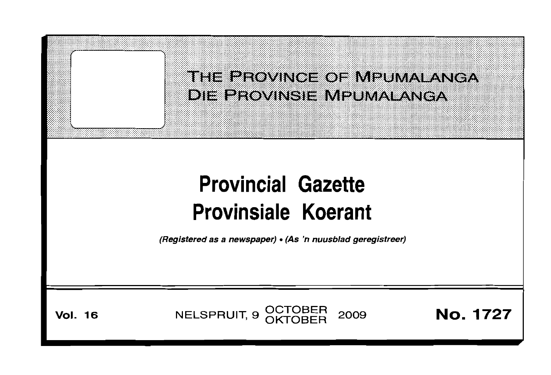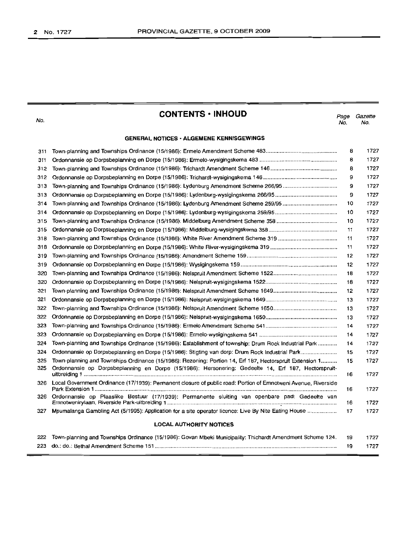No.

# **CONTENTS • INHOUD**

*Page Gazette* No. No.

#### **GENERAL NOTICES' ALGEMENE KENNISGEWINGS**

| 311                            |                                                                                                                | 8  | 1727 |  |
|--------------------------------|----------------------------------------------------------------------------------------------------------------|----|------|--|
| 311                            |                                                                                                                | 8  | 1727 |  |
| 312                            |                                                                                                                | 8  | 1727 |  |
| 312                            |                                                                                                                | 9  | 1727 |  |
| 313                            |                                                                                                                | 9  | 1727 |  |
| 313                            |                                                                                                                | 9  | 1727 |  |
| 314                            |                                                                                                                | 10 | 1727 |  |
| 314                            |                                                                                                                | 10 | 1727 |  |
| 315                            |                                                                                                                | 10 | 1727 |  |
| 315                            |                                                                                                                | 11 | 1727 |  |
| 318                            |                                                                                                                | 11 | 1727 |  |
| 318                            |                                                                                                                | 11 | 1727 |  |
| 319                            |                                                                                                                | 12 | 1727 |  |
| 319                            |                                                                                                                | 12 | 1727 |  |
| 320                            |                                                                                                                | 18 | 1727 |  |
| 320                            |                                                                                                                | 18 | 1727 |  |
| 321                            |                                                                                                                | 12 | 1727 |  |
| 321                            |                                                                                                                | 13 | 1727 |  |
| 322                            |                                                                                                                | 13 | 1727 |  |
| 322                            |                                                                                                                | 13 | 1727 |  |
| 323                            |                                                                                                                | 14 | 1727 |  |
| 323                            |                                                                                                                | 14 | 1727 |  |
| 324                            | Town-planning and Townships Ordinance (15/1986): Establishment of township: Drum Rock Industrial Park          | 14 | 1727 |  |
| 324                            | Ordonnansie op Dorpsbeplanning en Dorpe (15/1986): Stigting van dorp: Drum Rock Industrial Park                | 15 | 1727 |  |
| 325                            | Town-planning and Townships Ordinance (15/1986): Rezoning: Portion 14, Erf 187, Hectorspruit Extension 1       | 15 | 1727 |  |
| 325                            | Ordonnansie op Dorpsbeplanning en Dorpe (15/1986): Hersonering: Gedeelte 14, Erf 187, Hectorspruit-            | 16 | 1727 |  |
| 326                            | Local Government Ordinance (17/1939): Permanent closure of public road: Portion of Emnotweni Avenue, Riverside | 16 | 1727 |  |
| 326                            | Ordonnansie op Plaaslike Bestuur (17/1939): Permanente sluiting van openbare pad: Gedeelte van                 | 16 | 1727 |  |
| 327                            | Mpumalanga Gambling Act (5/1995): Application for a site operator licence: Live By Nite Eating House           | 17 | 1727 |  |
| <b>LOCAL AUTHORITY NOTICES</b> |                                                                                                                |    |      |  |
| 222                            | Town-planning and Townships Ordinance (15/1986): Govan Mbeki Municipality: Thichardt Amendment Scheme 124.     | 19 | 1727 |  |
|                                |                                                                                                                | 19 | 1727 |  |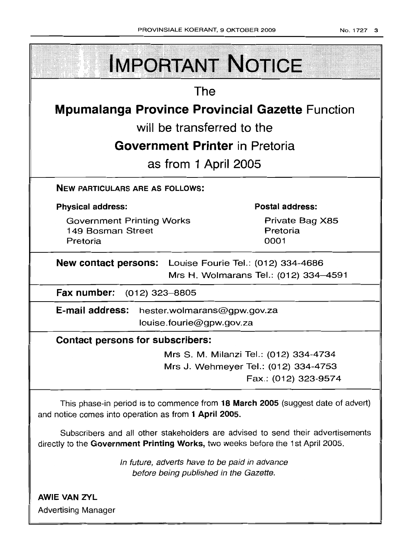| <b>IMPORTANT NOTICE</b>                                                                                                                                            |                                                                                                        |  |  |  |
|--------------------------------------------------------------------------------------------------------------------------------------------------------------------|--------------------------------------------------------------------------------------------------------|--|--|--|
| The                                                                                                                                                                |                                                                                                        |  |  |  |
| <b>Mpumalanga Province Provincial Gazette Function</b>                                                                                                             |                                                                                                        |  |  |  |
| will be transferred to the                                                                                                                                         |                                                                                                        |  |  |  |
| <b>Government Printer</b> in Pretoria                                                                                                                              |                                                                                                        |  |  |  |
| as from 1 April 2005                                                                                                                                               |                                                                                                        |  |  |  |
| <b>NEW PARTICULARS ARE AS FOLLOWS:</b>                                                                                                                             |                                                                                                        |  |  |  |
| <b>Physical address:</b>                                                                                                                                           | <b>Postal address:</b>                                                                                 |  |  |  |
| <b>Government Printing Works</b><br>149 Bosman Street<br>Pretoria                                                                                                  | Private Bag X85<br>Pretoria<br>0001                                                                    |  |  |  |
| <b>New contact persons:</b> Louise Fourie Tel.: (012) 334-4686<br>Mrs H. Wolmarans Tel.: (012) 334-4591                                                            |                                                                                                        |  |  |  |
| Fax number: (012) 323-8805                                                                                                                                         |                                                                                                        |  |  |  |
| E-mail address:<br>hester.wolmarans@gpw.gov.za<br>louise.fourie@gpw.gov.za                                                                                         |                                                                                                        |  |  |  |
| <b>Contact persons for subscribers:</b>                                                                                                                            |                                                                                                        |  |  |  |
|                                                                                                                                                                    | Mrs S. M. Milanzi Tel.: (012) 334-4734<br>Mrs J. Wehmeyer Tel.: (012) 334-4753<br>Fax.: (012) 323-9574 |  |  |  |
| This phase-in period is to commence from 18 March 2005 (suggest date of advert)<br>and notice comes into operation as from 1 April 2005.                           |                                                                                                        |  |  |  |
| Subscribers and all other stakeholders are advised to send their advertisements<br>directly to the Government Printing Works, two weeks before the 1st April 2005. |                                                                                                        |  |  |  |
| In future, adverts have to be paid in advance<br>before being published in the Gazette.                                                                            |                                                                                                        |  |  |  |
| <b>AWIE VAN ZYL</b>                                                                                                                                                |                                                                                                        |  |  |  |

Advertising Manager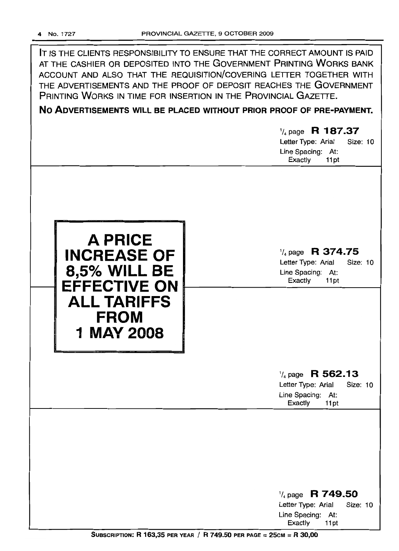| IT IS THE CLIENTS RESPONSIBILITY TO ENSURE THAT THE CORRECT AMOUNT IS PAID<br>AT THE CASHIER OR DEPOSITED INTO THE GOVERNMENT PRINTING WORKS BANK<br>ACCOUNT AND ALSO THAT THE REQUISITION/COVERING LETTER TOGETHER WITH<br>THE ADVERTISEMENTS AND THE PROOF OF DEPOSIT REACHES THE GOVERNMENT<br>PRINTING WORKS IN TIME FOR INSERTION IN THE PROVINCIAL GAZETTE. |                                                                                                       |  |  |  |  |  |
|-------------------------------------------------------------------------------------------------------------------------------------------------------------------------------------------------------------------------------------------------------------------------------------------------------------------------------------------------------------------|-------------------------------------------------------------------------------------------------------|--|--|--|--|--|
| NO ADVERTISEMENTS WILL BE PLACED WITHOUT PRIOR PROOF OF PRE-PAYMENT.                                                                                                                                                                                                                                                                                              |                                                                                                       |  |  |  |  |  |
|                                                                                                                                                                                                                                                                                                                                                                   | $\frac{1}{4}$ page R 187.37<br>Letter Type: Arial<br>Size: 10<br>Line Spacing: At:<br>Exactly<br>11pt |  |  |  |  |  |
| A PRICE<br><b>INCREASE OF</b><br><b>8,5% WILL BE</b><br><b>EFFECTIVE ON</b><br><b>ALL TARIFFS</b><br><b>FROM</b><br>1 MAY 2008                                                                                                                                                                                                                                    | $\frac{1}{4}$ page R 374.75<br>Letter Type: Arial<br>Size: 10<br>Line Spacing: At:<br>Exactly<br>11pt |  |  |  |  |  |
|                                                                                                                                                                                                                                                                                                                                                                   | $\frac{1}{4}$ page R 562.13<br>Letter Type: Arial<br>Size: 10<br>Line Spacing: At:<br>Exactly<br>11pt |  |  |  |  |  |
|                                                                                                                                                                                                                                                                                                                                                                   | $\frac{1}{4}$ page R 749.50<br>Letter Type: Arial<br>Size: 10<br>Line Spacing: At:<br>Exactly<br>11pt |  |  |  |  |  |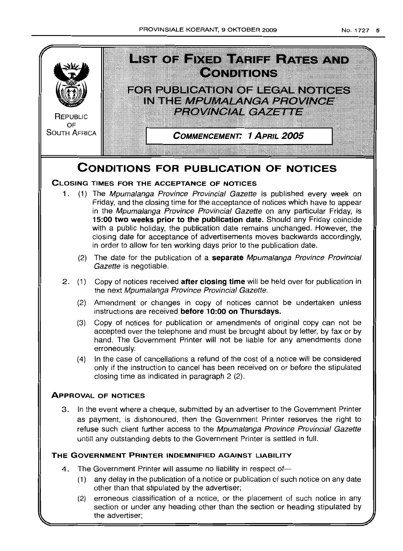

- (2) The date for the publication of a **separate** Mpumalanga Province Provincial Gazette is negotiable.
- 2. (1) Copy of notices received **after closing time** will be held over for publication in the next Mpumalanga Province Provincial Gazette.
	- (2) Amendment or changes in copy of notices cannot be undertaken unless instructions are received **before 10:00 on Thursdays.**
	- (3) Copy of notices for publication or amendments of original copy can not be accepted over the telephone and must be brought about by letter, by fax or by hand. The Government Printer will not be liable for any amendments done erroneously.
	- (4) In the case of cancellations a refund of the cost of a notice will be considered only if the instruction to cancel has been received on or before the stipulated closing time as indicated in paragraph 2 (2).

# **ApPROVAL OF NOTICES**

3. In the event where a cheque, submitted by an advertiser to the Government Printer as payment, is dishonoured, then the Government Printer reserves the right to refuse such client further access to the Mpumalanga Province Provincial Gazette untill any outstanding debts to the Government Printer is settled in full.

# **THE GOVERNMENT PRINTER INDEMNIFIED AGAINST LIABILITY**

- 4. The Government Printer will assume no liability in respect of--
	- (1) any delay in the publication of a notice or publication of such notice on any date other than that stipulated by the advertiser;
	- (2) erroneous classification of a notice, or the placement of such notice in any section or under any heading other than the section or heading stipulated by the advertiser;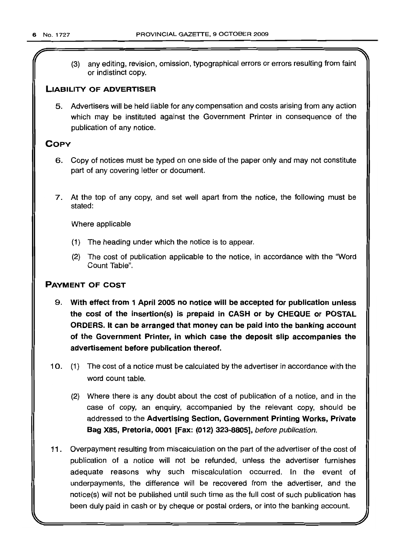(3) any editing, revision, omission, typographical errors or errors resulting from faint or indistinct copy.

# LIABILITY OF ADVERTISER

5. Advertisers will be held liable for any compensation and costs arising from any action which may be instituted against the Government Printer in consequence of the publication of any notice.

# **COPY**

- 6. Copy of notices must be typed on one side of the paper only and may not constitute part of any covering letter or document.
- 7. At the top of any copy, and set well apart from the notice, the following must be stated:

Where applicable

- (1) The heading under which the notice is to appear.
- (2) The cost of publication applicable to the notice, in accordance with the "Word Count Table".

# PAYMENT OF COST

- 9. With effect from 1 April 2005 no notice will be accepted for publication unless the cost of the insertion(s) is prepaid in CASH or by CHEQUE or POSTAL ORDERS. It can be arranged that money can be paid into the banking account of the Government Printer, in which case the deposit slip accompanies the advertisement before publication thereof.
- 10. (1) The cost of a notice must be calculated by the advertiser in accordance with the word count table.
	- (2) Where there is any doubt about the cost of publication of a notice, and in the case of copy, an enquiry, accompanied by the relevant copy, should be addressed to the Advertising Section, Government Printing Works, Private Bag X85, Pretoria, 0001 [Fax: (012) 323-8805], before publication.
- 11 . Overpayment resulting from miscalculation on the part of the advertiser of the cost of publication of a notice will not be refunded, unless the advertiser furnishes adequate reasons why such miscalculation occurred. In the event of underpayments, the difference will be recovered from the advertiser, and the notice(s) will not be published until such time as the full cost of such publication has been duly paid in cash or by cheque or postal orders, or into the banking account.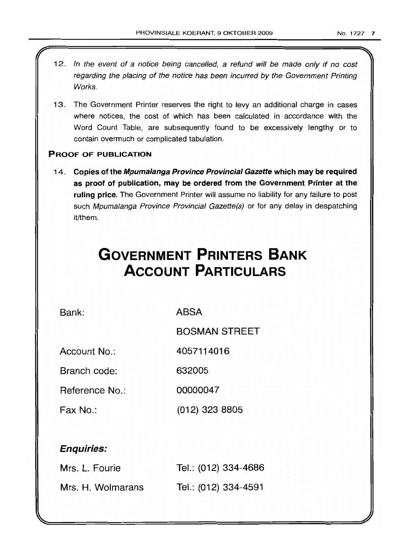- 12. In the event of a notice being cancelled, a refund will be made only if no cost regarding the placing of the notice has been incurred by the Government Printing Works.
- 13. The Government Printer reserves the right to levy an additional charge in cases where notices, the cost of which has been calculated in accordance with the Word Count Table, are subsequently found to be excessively lengthy or to contain overmuch or complicated tabulation.

# PROOF OF PUBLICATION

14. Copies of the Mpumalanga Province Provincial Gazette which may be required as proof of publication, may be ordered from the Government Printer at the ruling price. The Government Printer will assume no liability for any failure to post such Mpumalanga Province Provincial Gazette(s) or for any delay in despatching it/them.

# **GOVERNMENT PRINTERS BANK ACCOUNT PARTICULARS**

Bank: ABSA

BOSMAN STREET

Account No.: 4057114016

Branch code: 632005

Reference No.: 00000047

Fax No.: (012) 323 8805

# Enquiries:

| Mrs. L. Fourie    | Tel.: (012) 334-4686 |
|-------------------|----------------------|
| Mrs. H. Wolmarans | Tel.: (012) 334-4591 |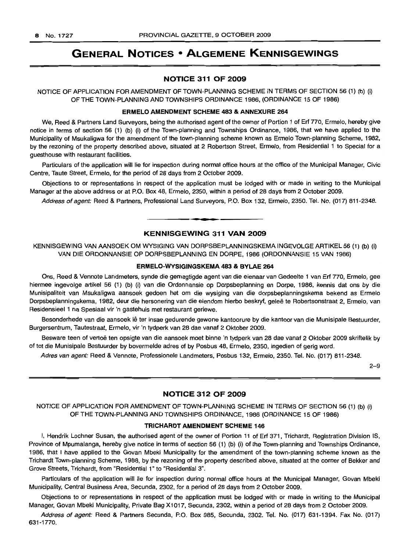# **GENERAL NOTICES • ALGEMENE KENNISGEWINGS**

### **NOTICE 311 OF 2009**

NOTICE OF APPLICATION FOR AMENDMENT OF TOWN-PLANNING SCHEME IN TERMS OF SECTION 56 (1) (b) (i) OF THE TOWN-PLANNING AND TOWNSHIPS ORDINANCE 1986, (ORDINANCE 15 OF 1986)

#### **ERMELO AMENDMENT SCHEME** 483 **& ANNEXURE** 264

We, Reed & Partners Land Surveyors, being the authorised agent of the owner of Portion 1 of Erf 770, Ermelo, hereby give notice in terms of section 56 (1) (b) (i) of the Town-planning and Townships Ordinance, 1986, that we have applied to the Municipality of Msukaligwa for the amendment of the town-planning scheme known as Ermelo Town-planning Scheme, 1982, by the rezoning of the property described above, situated at 2 Robertson Street, Ermelo, from Residential 1 to Special for a guesthouse with restaurant facilities.

Particulars of the application will lie for inspection during normal office hours at the office of the Municipal Manager, Civic Centre, Taute Street, Ermelo, for the period of 28 days from 2 October 2009.

Objections to or representations in respect of the application must be lodged with or made in writing to the Municipal Manager at the above address or at P.O. Box 48, Ermelo, 2350, within a period of 28 days from 2 October 2009.

Address of agent: Reed & Partners, Professional Land Surveyors, P.O. Box 132, Ermelo, 2350. Tel. No. (017) 811-2348.

#### **KENNISGEWING 311 VAN 2009**

**•**

KENNISGEWING VAN AANSOEK OM WYSIGING VAN DORPSBEPLANNINGSKEMA INGEVOLGE ARTIKEL 56 (1) (b) (i) VAN DIE ORDONNANSIE OP DORPSBEPLANNING EN DORPE, 1986 (ORDONNANSIE 15 VAN 1986)

#### **ERMELO·WYSIGINGSKEMA 483 & BYLAE 264**

Ons, Reed & Vennote Landmeters, synde die gemagtigde agent van die eienaar van Gedeelte 1 van Erf 770, Ermelo, gee hiermee ingevolge artikel 56 (1) (b) (i) van die Ordonnansie op Dorpsbeplanning en Dorpe, 1986, kennis dat ons by die Munisipaliteit van Msukaligwa aansoek gedoen het om die wysiging van die dorpsbeplanningskema bekend as Ermelo Dorpsbeplanningskema, 1982, deur die hersonering van die eiendom hierbo beskryf, geleë te Robertsonstraat 2, Ermelo, van Residensieel 1 na Spesiaal vir 'n gastehuis met restaurant geriewe.

Besonderhede van die aansoek lê ter insae gedurende gewone kantoorure by die kantoor van die Munisipale Bestuurder, Burgersentrum, Tautestraat, Ermelo, vir 'n tydperk van 28 dae vanaf 2 Oktober 2009.

Besware teen of vertoë ten opsigte van die aansoek moet binne 'n tydperk van 28 dae vanaf 2 Oktober 2009 skriftelik by of tot die Munisipale Bestuurder by bovermelde adres of by Posbus 48, Ermelo, 2350, ingedien of gerig word.

Adres van agent: Reed & Vennote, Professionele Landmeters, Posbus 132, Ermelo, 2350. Tel. No. (017) 811-2348.

2-9

### **NOTICE 312 OF 2009**

NOTICE OF APPLICATION FOR AMENDMENT OF TOWN-PLANNING SCHEME IN TERMS OF SECTION 56 (1) (b) (i) OF THE TOWN-PLANNING AND TOWNSHIPS ORDINANCE, 1986 (ORDINANCE 15 OF 1986)

#### **TRICHARDT AMENDMENT SCHEME** 146

I, Hendrik Lochner Susan, the authorised agent of the owner of Portion 11 of Erf 371, Trichardt, Registration Division IS, Province of Mpumalanga, hereby give notice in terms of section 56 (1) (b) (i) of the Town-planning and Townships Ordinance, 1986, that I have applied to the Govan Mbeki Municipality for the amendment of the town-planning scheme known as the Trichardt Town-planning Scheme, 1988, by the rezoning of the property described above, situated at the corner of Bekker and Grove Streets, Trichardt, from "Residential 1" to "Residential 3".

Particulars of the application will lie for inspection during normal office hours at the Municipal Manager, Govan Mbeki Municipality, Central Business Area, Secunda, 2302, for a period of 28 days from 2 October 2009.

Objections to or representations in respect of the application must be lodged with or made in writing to the Municipal Manager, Govan Mbeki Municipality, Private Bag X1017, Secunda, 2302, within a period of 28 days from 2 October 2009.

Address of agent: Reed & Partners Secunda, P.O. Box 985, Secunda, 2302. Tel. No. (017) 631-1394. Fax No. (017) 631-1770.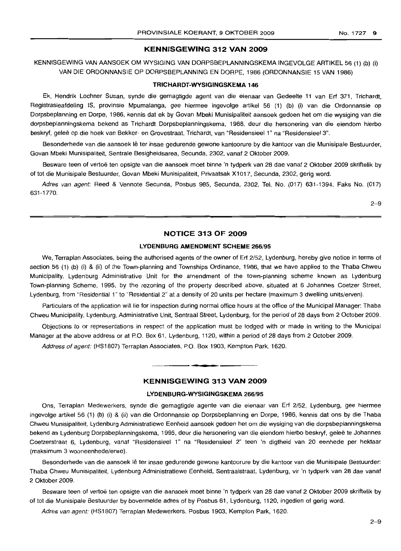### **KENNISGEWING 312 VAN 2009**

KENNISGEWING VAN AANSOEK OM WYSIGING VAN DORPSBEPLANNINGSKEMA INGEVOLGE ARTIKEL 56 (1) (b) (i) VAN DIE ORDONNANSIE OP DORPSBEPLANNING EN DORPE, 1986 (ORDONNANSIE 15 VAN 1986)

#### **TRICHARDT·WYSIGINGSKEMA 146**

Ek, Hendrik Lochner Susan, synde die gemagtigde agent van die eienaar van Gedeelte **11** van Erf 371, Trichardt, Registrasieafdeling IS, provinsie Mpumalanga, gee hiermee ingevolge artikel 56 (1) (b) (i) van die Ordonnansie op Dorpsbeplanning en Dorpe, 1986, kennis dat ek by Govan Mbeki Munisipaliteit aansoek gedoen het om die wysiging van die dorpsbeplanningskema bekend as Trichardt Dorpsbeplanningskema, 1988, deur die hersonering van die eiendom hierbo beskryf, geleë op die hoek van Bekker- en Grovestraat, Trichardt, van "Residensieel 1" na "Residensieel 3".

Besonderhede van die aansoek lê ter insae gedurende gewone kantoorure by die kantoor van die Munisipale Bestuurder, Govan Mbeki Munisipaliteit, Sentrale Besigheidsarea, Secunda, 2302, vanaf 2 Oktober 2009.

Besware teen of vertoe ten opsigte van die aansoek moet binne 'n tydperk van 28 dae vanaf 2 Oktober 2009 skriftelik by of tot die Munisipale Bestuurder, Govan Mbeki Munisipaliteit, Privaatsak X1017, Secunda, 2302, gerig word.

Adres van agent: Reed & Vennote Secunda, Posbus 985, Secunda, 2302. Tel. No. (017) 631-1394. Faks No. (017) 631-1770.

2-9

# **NOTICE 313 OF 2009**

#### **LYDENBURG AMENDMENT SCHEME** 266/95

We, Terraplan Associates, being the authorised agents of the owner of Erf 2/52, Lydenburg, hereby give notice in terms of section 56 (1) (b) (i) & (ii) of the Town-planning and Townships Ordinance, 1986, that we have applied to the Thaba Chweu Municipality, Lydenburg Administrative Unit for the amendment of the town-planning scheme known as Lydenburg Town-planning Scheme, 1995, by the rezoning of the property described above, situated at 6 Johannes Coetzer Street, Lydenburg, from "Residential 1" to "Residential 2" at a density of 20 units per hectare (maximum 3 dwelling units/erven).

Particulars of the application will lie for inspection during normal office hours at the office of the Municipal Manager: Thaba Chweu Municipality, Lydenburg, Administrative Unit, Sentraal Street, Lydenburg, for the period of 28 days from 2 October 2009.

Objections to or representations in respect of the application must be lodged with or made in writing to the Municipal Manager at the above address or at P.O. Box 61, Lydenburg, 1120, within a period of 28 days from 2 October 2009.

Address of agent: (HS1807) Terraplan Associates, PO. Box 1903, Kempton Park, 1620.

#### **KENNISGEWING 313 VAN 2009**

**- .**

# **LYDENBURG-WYSIGINGSKEMA** 266/95

Ons, Terraplan Medewerkers, synde die gemagtigde agente van die eienaar van Erf 2/52, Lydenburg, gee hiermee ingevolge artikel 56 (1) (b) (i) & (ii) van die Ordonnansie op Dorpsbeplanning en Dorpe, 1986, kennis dat ons by die Thaba Chweu Munisipaliteit, Lydenburg Administratiewe Eenheid aansoek gedoen het om die wysiging van die dorpsbeplanningskema bekend as Lydenburg Dorpsbeplanningskema, 1995, deur die hersonering van die eiendom hierbo beskryf, geleë te Johannes Coetzerstraat 6, Lydenburg, vanaf "Residensieel 1" na "Residensieel 2" teen 'n digtheid van 20 eenhede per hektaar (maksimum 3 wooneenhede/erwe).

Besonderhede van die aansoek lê ter insae gedurende gewone kantoorure by die kantoor van die Munisipale Bestuurder: Thaba Chweu Munisipaliteit, Lydenburg Administratiewe Eenheid, Sentraalstraat, Lydenburg, vir 'n tydperk van 28 dae vanaf 2 Oktober 2009.

Besware teen of vertoë ten opsigte van die aansoek moet binne 'n tydperk van 28 dae vanaf 2 Oktober 2009 skriftelik by of tot die Munisipale Bestuurder by bovermelde adres of by Posbus 61, Lydenburg, 1120, ingedien of gerig word.

Adres van agent: (HS1807) Terraplan Medewerkers, Posbus 1903, Kempton Park, 1620.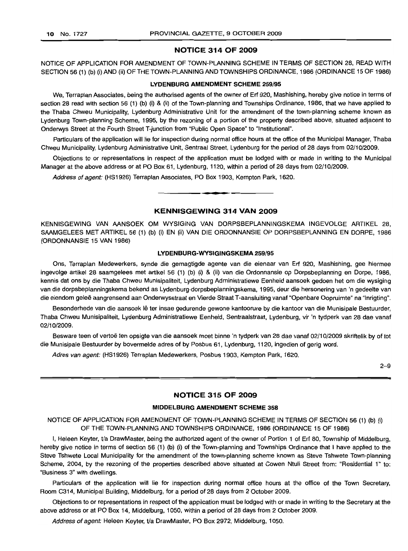### **NOTICE 314 OF 2009**

NOTICE OF APPLICATION FOR AMENDMENT OF TOWN-PLANNING SCHEME IN TERMS OF SECTION 28, READ WITH SECTION 56 (1) (b) (i) AND (ii) OF THE TOWN-PLANNING AND TOWNSHIPS ORDINANCE, 1986 (ORDINANCE 15 OF 1986)

#### **LYDENBLIRG AMENDMENT SCHEME** 259/95

We, Terraplan Associates, being the authorised agents of the owner of Erf 920, Mashishing, hereby give notice in terms of section 28 read with section 56 (1) (b) (i) & (ii) of the Town-planning and Townships Ordinance, 1986, that we have applied to the Thaba Chweu Municipality, Lydenburg Administrative Unit for the amendment of the town-planning scheme known as Lydenburg Town-planning Scheme, 1995, by the rezoning of a portion of the property described above, situated adjacent to Onderwys Street at the Fourth Street T-junction from "Public Open Space" to "Institutional".

Particulars of the application will lie for inspection during normal office hours at the office of the Municipal Manager, Thaba Chweu Municipality, Lydenburg Administrative Unit, Sentraal Street, Lydenburg for the period of 28 days from 02/10/2009.

Objections to or representations in respect of the application must be lodged with or made in writing to the Municipal Manager at the above address or at PO Box 61, Lydenburg, 1120, within a period of 28 days from 02/10/2009.

Address of agent: (HS1926) Terraplan Associates, PO Box 1903, Kempton Park, 1620.

# **KENNISGEWING 314 VAN 2009**

**•**

KENNISGEWING VAN AANSOEK OM WYSIGING VAN DORPSBEPLANNINGSKEMA INGEVOLGE ARTIKEL 28, SAAMGELEES MET ARTIKEL 56 (1) (b) (i) EN (ii) VAN DIE ORDONNANSIE OP DORPSBEPLANNING EN DORPE, 1986 (ORDONNANSIE 15 VAN 1986)

#### **LYDENBURG-WYSIGINGSKEMA** 259/95

Ons, Terraplan Medewerkers, synde die gemagtigde agente van die eienaar van Erf 920, Mashishing, gee hiermee ingevolge artikel 28 saamgelees met artikel 56 (1) (b) (i) & (ii) van die Ordonnansie op Dorpsbeplanning en Dorpe, 1986, kennis dat ons by die Thaba Chweu Munisipaliteit, Lydenburg Administratiewe Eenheid aansoek gedoen het om die wysiging van die dorpsbeplanningskema bekend as Lydenburg-dorpsbeplanningskema, 1995, deur die hersonering van 'n gedeelte van die eiendom geleë aangrensend aan Onderwysstraat en Vierde Straat T-aansluiting vanaf "Openbare Oopruimte" na "Inrigting".

Besonderhede van die aansoek lê ter insae gedurende gewone kantoorure by die kantoor van die Munisipale Bestuurder, Thaba Chweu Munisipaliteit, Lydenburg Administratiewe Eenheid, Sentraalstraat, Lydenburg, vir 'n tydperk van 28 dae vanaf 02/10/2009.

Besware teen of vertoë ten opsigte van die aansoek moet binne 'n tydperk van 28 dae vanaf 02/10/2009 skriftelik by of tot die Munisipale Bestuurder by bovermelde adres of by Posbus 61, Lydenburg, 1120, ingedien of gerig word.

Adres van agent: (HS1926) Terraplan Medewerkers, Posbus 1903, Kempton Park, 1620.

2-9

# **NOTICE 315 OF 2009**

#### **MIDDELBURG AMENDMENT SCHEME** 358

# NOTICE OF APPLICATION FOR AMENDMENT OF TOWN-PLANNING SCHEME IN TERMS OF SECTION 56 (1) (b) (i) OF THE TOWN-PLANNING AND TOWNSHIPS ORDINANCE, 1986 (ORDINANCE 15 OF 1986)

I, Heleen Keyter, *Va* DrawMaster, being the authorized agent of the owner of Portion 1 of Erf 80, Township of Middelburg, hereby give notice in terms of section 56 (1) (b) (i) of the Town-planning and Townships Ordinance that I have applied to the Steve Tshwete Local Municipality for the amendment of the town-planning scheme known as Steve Tshwete Town-planning Scheme, 2004, by the rezoning of the properties described above situated at Cowen Ntuli Street from: "Residential 1" to: "Business 3" with dwellings.

Particulars of the application will lie for inspection during normal office hours at the office of the Town Secretary, Room C314, Municipal Building, Middelburg, for a period of 28 days from 2 October 2009.

Objections to or representations in respect of the application must be lodged with or made in writing to the Secretary at the above address or at PO Box 14, Middelburg, 1050, within a period of 28 days from 2 October 2009.

Address of agent: Heleen Keyter, Va DrawMaster, PO Box 2972, Middelburg, 1050.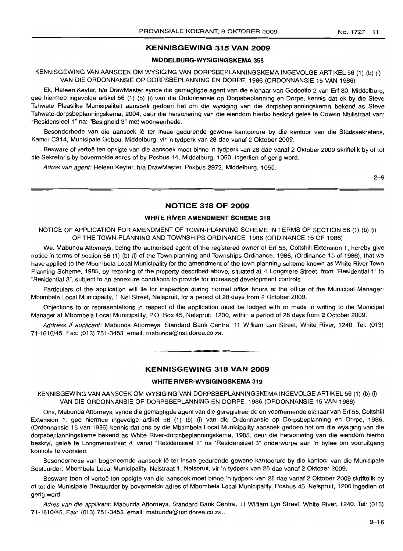# **KENNISGEWING 315 VAN 2009**

#### **MIDDELBURG-WYSIGINGSKEMA** 358

KENNISGEWING VAN AANSOEK OM WYSIGING VAN DORPSBEPLANNINGSKEMA INGEVOLGE ARTIKEL 56 (1) (b) (i) VAN DIE ORDONNANSIE OP DORPSBEPLANNING EN DORPE, 1986 (ORDONNANSIE 15 VAN 1986)

Ek, Heleen Keyter, h/a DrawMaster synde die gemagtigde agent van die eienaar van Gedeelte 2 van Erf 80, Middelburg, gee hiermee ingevolge artikel 56 (1) (b) (i) van die Ordonnansie op Dorpsbeplanning en Dorpe, kennis dat ek by die Steve Tshwete Plaaslike Munisipaliteit aansoek gedoen het om die wysiging van die dorpsbeplanningskema bekend as Steve Tshwete-dorpsbeplanningskema, 2004, deur die hersonering van die eiendom hierbo beskryf gelee te Cowen Ntulistraat van: "Residensieel 1" na: "Besigheid 3" met wooneenhede.

Besonderhede van die aansoek lê ter insae gedurende gewone kantoorure by die kantoor van die Stadssekretaris, Kamer C314, Munisipale Gebou, Middelburg, vir 'n tydperk van 28 dae vanaf 2 Oktober 2009.

Besware of vertoë ten opsigte van die aansoek moet binne 'n tydperk van 28 dae vanaf 2 Oktober 2009 skriftelik by of tot die Sekretaris by bovermelde adres of by Posbus 14, Middelburg, 1050, ingedien of gerig word.

Adres van agent: Heleen Keyter, h/a DrawMaster, Posbus 2972, Middelburg, 1050.

2-9

# **NOTICE 318 OF 2009**

## **WHITE RIVER AMENDMENT SCHEME** 319

NOTICE OF APPLICATION FOR AMENDMENT OF TOWN-PLANNING SCHEME IN TERMS OF SECTION 56 (1) (b) (i) OF THE TOWN-PLANNING AND TOWNSHIPS ORDINANCE, 1986 (ORDINANCE 15 OF 1986)

We, Mabunda Attorneys, being the authorised agent of the registered owner of Erf 55, Coltshill Extension 1, hereby give notice in terms of section 56 (1) (b) (i) of the Town-planning and Townships Ordinance, 1986, (Ordinance 15 of 1986), that we have applied to the Mbombela Local Municipality for the amendment of the town planning scheme known as White River Town Planning Scheme, 1985, by rezoning of the property described above, situated at 4 Longmere Street, from "Residential 1" to "Residential 3", subject to an annexure conditions to provide for increased development controls.

Particulars of the application will lie for inspection during normal office hours at the office of the Municipal Manager: Mbombela Local Municipality, 1 Nel Street, Nelspruit, for a period of 28 days from 2 October 2009.

Objections to or representations in respect of the application must be lodged with or made in writing to the Municipal Manager at Mbombela Local Municipality, P.O. Box 45, Nelspruit, 1200, within a period of 28 days from 2 October 2009.

Address if applicant: Mabunda Attorneys. Standard Bank Centre, <sup>11</sup> William Lyn Street, White River, 1240. Tel: (013) 71-1610/45. Fax: (013) 751-3453. email: mabunda@nst.dorea.co.za.

# **KENNISGEWING 318 VAN 2009**

**•**

### **WHITE RIVER-WYSIGINGSKEMA** 3'19

KENNISGEWING VAN AANSOEK OM WYSIGING VAN DORPSBEPLANNINGSKEMA INGEVOLGE ARTIKEL 56 (1) (b) (i) VAN DIE ORDONNANSIE OP DORPSBEPLANNING EN DORPE, 1986 (ORDONNANSIE 15 VAN 1986)

Ons, Mabunda Attorneys, synde die gemagtigde agent van die geregistreerde en voornemende eienaar van Erf 55, Coltshill Extension 1, gee hiermee ingevolge artikel 56 (1) (b) (i) van die Ordonnansie op Dorpsbeplanning en Dorpe, 1986, (Ordonnansie 15 van 1986) kennis dat ons by die Mbombela Local Municipality aansoek gedoen het om die wysiging van die dorpsbeplanningskema bekend as White River-dorpsbeplanningskema, 1985, deur die hersonering van die eiendom hierbo beskryf, qelee te Longmerestraat 4, vanaf "Residensieel 1" na "Residensieel 3" onderworpe aan 'n bylae om vooruitgang kontrole te voorsien.

Besonderhede van bogenoemde aansoek lê ter insae gedurende gewone kantoorure by die kantoor van die Munisipale Bestuurder: Mbombela Local Municipality, Nelstraat 1, Nelspruit, vir 'n tydperk van 28 dae vanaf 2 Oktober 2009.

Besware teen of vertoe ten opsigte van die aansoek moet binne 'n tydperk van 28 dae vanaf 2 Oktober 2009 skriftelik by of tot die Munisipale Bestuurder by bovermelde adres of Mbombela Local Municipality, Posbus 45, Nelspruit, 1200 ingedien of gerig word.

Adres van die applikant: Mabunda Attorneys, Standard Bank Centre, 11 William Lyn Street, White River, 1240. Tel: (013) 71-1610/45. Fax: (013) 751-3453. email: mabunda@nst.dorea.co.za..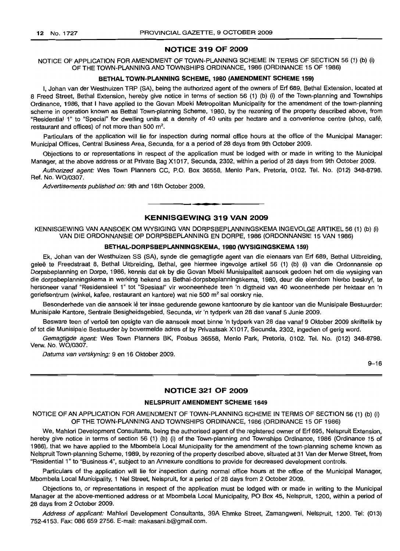# **NOTICE 319 OF 2009**

NOTICE OF APPLICATION FOR AMENDMENT OF TOWN-PLANNING SCHEME IN TERMS OF SECTION 56 (1) (b) (i) OF THE TOWN-PLANNING AND TOWNSHIPS ORDINANCE, 1986 (ORDINANCE 15 OF 1986)

#### **BETHAL TOWN-PLANNING SCHEME, 1980 (AMENDMENT SCHEME 159)**

I, Johan van der Westhuizen TRP (SA), being the authorized agent of the owners of Erf 689, Bethal Extension, located at 8 Freed Street, Bethal Extension, hereby give notice in terms of section 56 (1) (b) (i) of the Town-planning and Townships Ordinance, 1986, that I have applied to the Govan Mbeki Metropolitan Municipality for the amendment of the town-planning scheme in operation known as Bethal Town-planning Scheme, 1980, by the rezoning of the property described above, from "Residential 1" to "Special" for dwelling units at a density of 40 units per hectare and a convenience centre (shop, cafe, restaurant and offices) of not more than 500 m<sup>2</sup>.

Particulars of the application will lie for inspection during normal office hours at the office of the Municipal Manager: Municipal Offices, Central Business Area, Secunda, for a a period of 28 days from 9th October 2009.

Objections to or representations in respect of the application must be lodged with or made in writing to the Municipal Manager, at the above address or at Private Bag X1017, Secunda, 2302, within a period of 28 days from 9th October 2009.

Authorized agent: Wes Town Planners CC, P.O. Box 36558, Menlo Park, Pretoria, 0102. Tel. No. (012) 348-8798. Ref. No. WO/0307.

Advertisements published on: 9th and 16th October 2009.

# **KENNISGEWING 319 VAN 2009**

**• •**

KENNISGEWING VAN AANSOEK OM WYSIGING VAN DORPSBEPLANNINGSKEMA INGEVOLGE ARTIKEL 56 (1) (b) (i) VAN DIE ORDONNANSIE OP DORPSBEPLANNING EN DORPE, 1986 (ORDONNANSIE 15 VAN 1986)

### **BETHAL-DORPSBEPLANNINGSKEMA, 1980 (wySIGINGSKEMA 159)**

Ek, Johan van der Westhuizen SS (SA), synde die gemagtigde agent van die eienaars van Erf 689, Bethal Uitbreiding, geleë te Freedstraat 8, Bethal Uitbreiding, Bethal, gee hiermee ingevolge artikel 56 (1) (b) (i) van die Ordonnansie op Dorpsbeplanning en Dorpe, 1986, kennis dat ek by die Govan Mbeki Munisipaliteit aansoek gedoen het om die wysiging van die dorpsbeplanningskema in werking bekend as Bethal-dorpsbeplanningskema, 1980, deur die eiendom hierbo beskryf, te hersoneer vanaf "Residensieel 1" tot "Spesiaal" vir wooneenhede teen 'n digtheid van 40 wooneenhede per hektaar en 'n geriefsentrum (winkel, kafee, restaurant en kantore) wat nie 500 m<sup>2</sup> sal oorskry nie.

Besonderhede van die aansoek lê ter insae gedurende gewone kantoorure by die kantoor van die Munisipale Bestuurder: Munisipale Kantore, Sentrale Besigheidsgebied, Secunda, vir 'n tydperk van 28 dae vanaf 5 Junie 2009.

Besware teen of vertoë ten opsigte van die aansoek moet binne 'n tydperk van 28 dae vanaf 9 Oktober 2009 skriftelik by of tot die Munisipale Bestuurder by bovermelde adres of by Privaatsak X1017, Secunda, 2302, ingedien of gerig word.

Gemagtigde agent: Wes Town Planners BK, Posbus 36558, Menlo Park, Pretoria, 0102. Tel. No. (012) 348-8798. Verw. No. WO/0307.

Datums van verskyning: 9 en 16 Oktober 2009.

9-16

# **NOTICE 321 OF 2009**

#### **NELSPRUIT AMENDMENT SCHEME 1649**

NOTICE OF AN APPLICATION FOR AMENDMENT OF TOWN-PLANNING SCHEME IN TERMS OF SECTION 56 (1) (b) (i) OF THE TOWN-PLANNING AND TOWNSHIPS ORDINANCE, 1986 (ORDINANCE 15 OF 1986)

We, Mahlori Development Consultants, being the authorised agent of the registered owner of Erf 695, Nelspruit Extension, hereby give notice in terms of section 56 (1) (b) (i) of the Town-planning and Townships Ordinance, 1986 (Ordinance 15 of 1986), that we have applied to the Mbombela Local Municipality for the amendment of the town-planning scheme known as Nelspruit Town-planning Scheme, 1989, by rezoning of the property described above, situated at 31 Van der Merwe Street, from "Residential 1"to "Business 4", subject to an Annexure conditions to provide for decreased development controls.

Particulars of the application will lie for inspection during normal office hours at the office of the Municipal Manager, Mbombela Local Municipality, 1 Nel Street, Nelspruit, for a period of 28 days from 2 October 2009.

Objections to, or representations in respect of the application must be lodged with or made in writing to the Municipal Manager at the above-mentioned address or at Mbombela Local Municipality, PO Box 45, Nelspruit, 1200, within a period of 28 days from 2 October 2009.

Address of applicant: Mahlori Development Consultants, 39A Ehmke Street, Zamangweni, Nelspruit, 1200. Tel: (013) 752-4153. Fax: 086 659 2756. E-mail: makasani.b@gmail.com.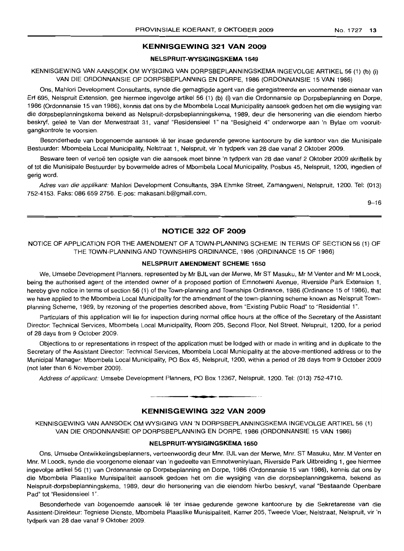# **KENNISGEWING 321 VAN 2009**

#### **NELSPRUIT-WYSIGINGSKEMA 1649**

KENNISGEWING VAN AANSOEK OM WYSIGING VAN DORPSBEPLANNINGSKEMA INGEVOLGE ARTIKEL 56 (1) (b) (i) VAN DIE ORDONNANSIE OP DORPSBEPLANNING EN DORPE, 1986 (ORDONNANSIE 15 VAN 1986)

Ons, Mahlori Development Consultants, synde die gemagtigde agent van die geregistreerde en voornemende eienaar van Erf 695, Nelspruit Extension, gee hiermee ingevolge artikel 56 (1) (b) (i) van die Ordonnansie op Dorpsbeplanning en Dorpe, 1986 (Ordonnansie 15 van 1986), kennis dat ons by die Mbombela Local Municipality aansoek gedoen het om die wysiging van die dorpsbeplanningskema bekend as Nelspruit-dorpsbeplanningskema, 1989, deur die hersonering van die eiendom hierbo beskryf, geleë te Van der Merwestraat 31, vanaf "Residensieel 1" na "Besigheid 4" onderworpe aan 'n Bylae om vooruitgangkontrole te voorsien.

Besonderhede van bogenoemde aansoek lê ter insae gedurende gewone kantoorure by die kantoor van die Munisipale Bestuurder: Mbombela Local Municipality, Nelstraat 1, Nelspruit, vir 'n tydperk van 28 dae vanaf 2 Oktober 2009.

Besware teen of vertoë ten opsigte van die aansoek moet binne 'n tydperk van 28 dae vanaf 2 Oktober 2009 skriftelik by of tot die Munisipale Bestuurder by bovermelde adres of Mbombela Local Municipality, Posbus 45, Nelspruit, 1200, ingedien of gerig word.

Adres van die applikant: Mahlori Development Consultants, 39A Ehmke Street, Zamangweni, Nelspruit, 1200. Tel: (013) 752-4153. Faks: 086 659 2756. E-pos: makasani.b@gmail.com.

 $9 - 16$ 

# **NOTICE 322 OF 2009**

# NOTICE OF APPLICATION FOR THE AMENDMENT OF A TOWN-PLANNING SCHEME IN TERMS OF SECTION 56 (1) OF THE TOWN-PLANNING AND TOWNSHIPS ORDINANCE, 1986 (ORDINANCE 15 OF 1986)

#### **NELSPRUIT AMENDMENT SCHEME 1650**

We, Umsebe Development Planners, represented by Mr BJL van der Merwe, Mr ST Masuku, Mr M Venter and Mr M Loock, being the authorised agent of the intended owner of a proposed portion of Emnotweni Avenue, Riverside Park Extension 1, hereby give notice in terms of section 56 (1) of the Town-planning and Townships Ordinance, 1986 (Ordinance 15 of 1986), that we have applied to the Mbombela Local Municipality for the amendment of the town-planning scheme known as Nelspruit Townplanning Scheme, 1989, by rezoning of the properties described above, from "Existing Public Road" to "Residential 1".

Particulars of this application will lie for inspection during normal office hours at the office of the Secretary of the Assistant Director: Technical Services, Mbombela Local Municipality, Room 205, Second Floor, Nel Street, Nelspruit, 1200, for a period of 28 days from 9 October 2009.

Objections to or representations in respect of the application must be lodged with or made in writing and in duplicate to the Secretary of the Assistant Director: Technical Services, Mbombela Local Municipality at the above-mentioned address or to the Municipal Manager: Mbombela Local Municipality, PO Box 45, Nelspruit, 1200, within a period of 28 days from 9 October 2009 (not later than 6 November 2009).

Address of applicant: Umsebe Development Planners, PO Box 12367, Nelspruit, 1200. Tel: (013) 752-4710.

#### **KENNISGEWING 322 VAN 2009**

**•**

KENNISGEWING VAN AANSOEK OM WYSIGING VAN 'N DORPSBEPLANNINGSKEMA INGEVOLGE ARTIKEL 56 (1) VAN DIE ORDONNANSIE OP DORPSBEPLANNING EN DORPE, 1986 (ORDONNANSIE 15 VAN 198Ei)

#### **NELSPRUIT-WYSIGINGSKEMA 1650**

Ons, Umsebe Ontwikkelingsbeplanners, verteenwoordig deur Mnr. BJL van der Merwe, Mm. ST Masuku, Mnr. M Venter en Mm. M Loock, synde die voorgenome eienaar van 'n gedeelte van Emnotwenirylaan, Riverside Park Uitbreiding 1, gee hiermee ingevolge artikel 56 (1) van Ordonnansie op Dorpsbeplanning en Dorpe, 1986 (Ordonnansie 15 van 1986), kennis dat ons by die Mbombela Plaaslike Munisipaliteit aansoek gedoen het om die wysiging van die dorpsbeplanningskema, bekend as Nelspruit-dorpsbeplanningskema, 1989, deur die hersonering van die eiendom hierbo beskryf, vanaf "Bestaande Openbare Pad" tot "Residensieel 1".

Besonderhede van bogenoemde aansoek lê ter insae gedurende gewone kantoorure by die Sekretaresse van die Assistent-Direkteur: Tegniese Dienste, Mbombela Plaaslike Munisipaliteit, Kamer 205, Tweede Vloer, Nelstraat, Nelspruit, vir 'n tydperk van 28 dae vanaf 9 Oktober 2009.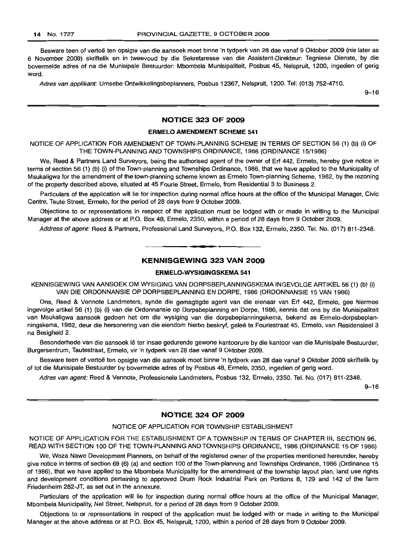Besware teen of vertoe ten opsigte van die aansoek moet binne 'n tydperk van 28 dae vanaf 9 Oktober 2009 (nie later as 6 November 2009) skriftelik en in tweevoud by die Sekretaresse van die Assistent-Direkteur: Tegniese Dienste, by die bovermelde adres of na die Munisipale Bestuurder: Mbombela Munisipaliteit, Posbus 45, Nelspruit, 1200, ingedien of gerig word.

Adres van applikant: Umsebe Ontwikkelingsbeplanners, Posbus 12367, Nelspruit, 1200. Tel: (013) 752-4710.

9-16

# **NOTICE 323 OF 2009**

#### **ERMELO AMENDMENT SCHEME 541**

NOTICE OF APPLICATION FOR AMENDMENT OF TOWN-PLANNING SCHEME IN TERMS OF SECTION 56 (1) (b) (i) OF THE TOWN-PLANNING AND TOWNSHIPS ORDINANCE, 1986 (ORDINANCE 15/1986)

We, Reed & Partners Land Surveyors, being the authorised agent of the owner of Erf 442, Ermelo, hereby give notice in terms of section 56 (1) (b) (i) of the Town-planning and Townships Ordinance, 1986, that we have applied to the Municipality of Msukaligwa for the amendment of the town-planning scheme known as Ermelo Town-planning Scheme, 1982, by the rezoning of the property described above, situated at 45 Fourie Street, Ermelo, from Residential 3 to Business 2.

Particulars of the application will lie for inspection during normal office hours at the office of the Municipal Manager, Civic Centre, Taute Street, Ermelo, for the period of 28 days from 9 October 2009.

Objections to or representations in respect of the application must be lodged with or made in writing to the Municipal Manager at the above address or at P.O. Box 48, Ermelo, 2350, within a period of 28 days from 9 October 2009.

Address of agent: Reed & Partners, Professional Land Surveyors, P.O. Box 132, Ermelo, 2350. Tel. No. (017) 811-2348.

### **KENNISGEWING 323 VAN 2009**

**-**

### **ERMELO-WYSIGINGSKEMA 541**

KENNISGEWING VAN AANSOEK OM WYSIGING VAN DORPSBEPLANNINGSKEMA INGEVOLGE ARTIKEL 56 (1) (b) (i) VAN DIE ORDONNANSIE OP DORPSBEPLANNING EN DORPE, 1986 (ORDONNANSIE 15 VAN 1986)

Ons, Reed & Vennote Landmeters, synde die gemagtigde agent van die eienaar van Erf 442, Ermelo, gee hiermee ingevolge artikel 56 (1) (b) (i) van die Ordonnansie op Dorpsbeplanning en Dorpe, 1986, kennis dat ons by die Munisipaliteit van Msukaligwa aansoek gedoen het om die wysiging van die dorpsbeplanningskema, bekend as Ermelo-dorpsbeplanningskema, 1982, deur die hersonering van die eiendom hierbo beskryf, gelee te Fouriestraat 45, Ermelo, van Residensieel 3 na Besigheid 2.

Besonderhede van die aansoek lê ter insae gedurende gewone kantoorure by die kantoor van die Munisipale Bestuurder, Burgersentrum, Tautestraat, Ermelo, vir 'n tydperk van 28 dae vanaf 9 Oktober 2009.

Besware teen of vertoe ten opsigte van die aansoek moet binne 'n tydperk van 28 dae vanaf 9 Oktober 2009 skriftelik by of tot die Munisipale Bestuurder by bovermelde adres of by Posbus 48, Ermelo, 2350, ingedien of gerig word.

Adres van agent: Reed & Vennote, Professionele Landmeters, Posbus 132, Ermelo, 2350. Tel. No. (017) 811-2348.

9-16

# **NOTICE 324 OF 2009**

# NOTICE OF APPLICATION FOR TOWNSHIP ESTABLISHMENT

NOTICE OF APPLICATION FOR THE ESTABLISHMENT OF A TOWNSHIP IN TERMS OF CHAPTER III, SECTION 96, READ WITH SECTION 100 OF THE TOWN-PLANNING AND TOWNSHIPS ORDINANCE, 1986 (ORDINANCE 15 OF 1986)

We, Woza Nawe Development Planners, on behalf of the registered owner of the properties mentioned hereunder, hereby give notice in terms of section 69 (6) (a) and section 100 of the Town-planning and Townships Ordinance, 1986 (Ordinance 15 of 1986), that we have applied to the Mbombela Municipality for the amendment of the township layout plan, land use rights and development conditions pertaining to approved Drum Rock Industrial Park on Portions 8, 129 and 142 of the farm Friedenheim 282-JT, as set out in the annexure.

Particulars of the application will lie for inspection during normal office hours at the office of the Municipal Manager, Mbombela Municipality, Nel Street, Nelspruit, for a period of 28 days from 9 October 2009.

Objections to or representations in respect of the application must be lodged with or made in writing to the Municipal Manager at the above address or at P.O. Box 45, Nelspruit, 1200, within a period of 28 days from 9 October 2009.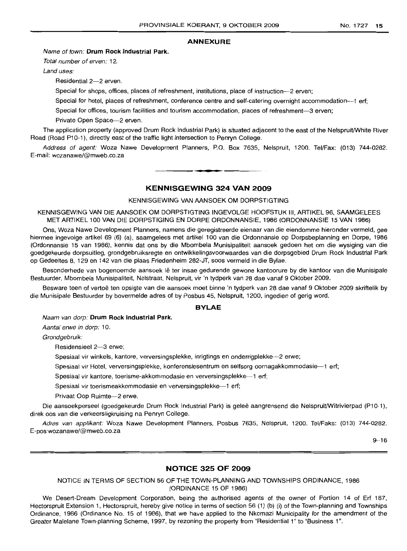#### **ANNEXURE**

#### Name of town: **Drum Rock Industrial Park.**

Total number of erven: 12.

Land uses:

Residential 2-2 erven.

Special for shops, offices, places of refreshment, institutions, place of instruction---2 erven;

Special for hotel, places of refreshment, conference centre and self-catering overnight accommodation---1 erf;

Special for offices, tourism facilities and tourism accommodation, places of refreshment-3 erven;

Private Open Space-2 erven.

The application property (approved Drum Rock Industrial Park) is situated adjacent to the east of the NelspruitlWhite River Road (Road P10-1), directly east of the traffic light intersection to Penryn College.

Address of agent: Woza Nawe Developrnent Planners, P.O. Box 7635, Nelspruit, 1200. Tel/Fax: (013) 744-0282. E-mail: wozanawe!@mweb.co.za

#### **KENNISGEWING 324 VAN 2009**

**• •**

#### KENNISGEWING VAN AANSOEK OM DORPSTIGTING

KENNISGEWING VAN DIE AANSOEK OM DORPSTIGTING INGEVOLGE HOOFSTUK III, ARTIKEL 96, SAAMGELEES MET ARTIKEL 100 VAN DIE DORPSTIGING EN DORPE ORDONNANSIE, 1986 (ORDONNANSIE 15 VAN 1986)

Ons, Woza Nawe Development Planners, narnens die geregistreerde eienaar van die eiendomme hieronder vermeld, gee hierrnee ingevolge artikel 69 (6) (a), saamgelees met artikel 100 van die Ordonnansie op Dorpsbeplanning en Dorpe, 1986 (Ordonnansie 15 van 1986), kennis dat ons by die Mbornbela Munisipaliteit aansoek gedoen het om die wysiging van die goedgekeurde dorpsuitleg, grondgebruiksregte en ontwikkelingsvoorwaardes van die dorpsgebied Drum Rock Industrial Park op Gedeeltes 8, 129 en 142 van die plaas Friedenheim 282-JT, soos vermeld in die Bylae.

Besonderhede van bogenoemde aansoek lê ter insae gedurende gewone kantoorure by die kantoor van die Munisipale Bestuurder, Mbombela Munisipaliteit, Nelstraat, Nelspruit, vir 'n tydperk van 28 dae vanaf 9 Oktober 2009.

Besware teen of vertoë ten opsigte van die aansoek moet binne 'n tydperk van 28 dae vanaf 9 Oktober 2009 skriftelik by die Munisipale Bestuurder by bovermelde adres of by Posbus 45, Nelspruit, 1200, ingedien of gerig word.

#### **BYLAE**

Naam van dorp: **Drum Rock Industrial Park.**

Aantal erwe in dorp: 10.

Grondgebruik:

Residensieel 2-3 erwe;

Spesiaal vir winkels, kantore, verversingsplekke, inrigtings en onderrigplekke--2 erwe;

Spesiaal vir Hotel, verversingsplekke, konferensiesentrum en selfsorg oornagakkommodasie-1 erf;

Spesiaal vir kantore, toerisme-akkommodasie en verversingsplekke-1 erf;

Spesiaal vir toerismeakkommodasie en verversingsplekke-1 erf;

Privaat Oop Ruimte-2 erwe.

Die aansoekpersee! (goedgekeurde Drum Rock Industrial Park) is geleë aangrensend die Nelspruit/Witrivierpad (P10-1), direk oos van die verkeersligkruising na Penryn College.

Adres van applikant: Woza Nawe Development Planners, Posbus 7635, Nelspruit, 1200. Tel/Faks: (013) 744-0282. E-pos:wozanawe!@mweb.co.za

 $9 - 16$ 

### **NOTICE 325 OF 2009**

NOTICE IN TERMS OF SECTION 56 OF THE TOWN-PLANNING AND TOWNSHIPS ORDINANCE, 1986 (ORDINANCE 15 OF 1986)

We Desert-Dream Development Corporation, being the authorised agents of the owner of Portion 14 of Erf 187, Hectorspruit Extension 1, Hectorspruit, hereby give notice in terms of section 56 (1) (b) (i) of the Town-planning and Townships Ordinance, 1986 (Ordinance No. 15 of 1986), that we have applied to the Nkomazi Municipality for the amendment of the Greater Malelane Town-planning Scheme, 1997, by rezoning the property from "Residential 1" to "Business 1".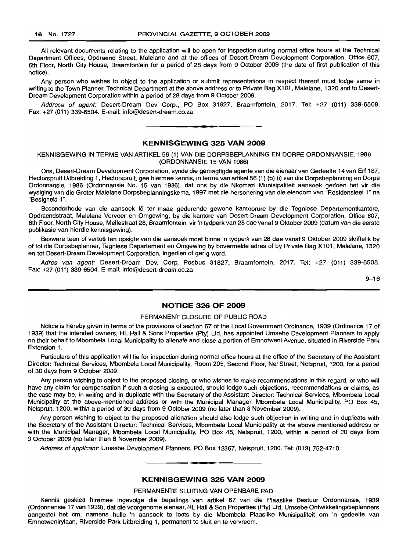All relevant documents relating to the application will be open for inspection during normal office hours at the Technical Department Offices, Opdraend Street, Malelane and at the offices of Desert-Dream Development Corporation, Office 607, 6th Floor, North City House, Braamfontein for a period of 28 days from 9 October 2009 (the date of first publication of this notice).

Any person who wishes to object to the application or submit representations in respect thereof must lodge same in writing to the Town Planner, Technical Department at the above address or to Private Bag X101, Malelane, 1320 and to Desert-Dream Development Corporation within a period of 28 days from 9 October 2009.

Address of agent: Desert-Dream Dev Corp., PO Box 31827, Braamfontein, 2017. Tel: +27 (011) 339-6508. Fax: +27 (011) 339-6504. E-mail: info@desert-dream.co.za

#### **KENNISGEWING 325 VAN 2009**

**•**

KENNISGEWING IN TERME VAN ARTIKEL 56 (1) VAN DIE DORPSBEPLANNING EN DORPE ORDONNANSIE, 1986 (ORDONNANSIE 15 VAN 1986)

Ons, Desert-Dream Development Corporation, synde die gemagtigde agente van die eienaar van Gedeelte 14 van Erf 187, Hectorspruit Uitbreiding 1, Hectorspruit, gee hiermee kennis, in terme van artikel 56 (1) (b) (i) van die Dorpsbeplanning en Dorpe Ordonnansie, 1986 (Ordonnansie No. 15 van 1986), dat ons by die Nkomazi Munisipaliteit aansoek gedoen het vir die wysiging van die Groter Malelane Dorpsbeplanningskema, 1997 met die hersonering van die eiendom van "Residensieel 1" na "Besigheid 1".

Besonderhede van die aansoek lê ter insae gedurende gewone kantoorure by die Tegniese Departementkantore, Opdraendstraat, Malelane Vervoer en Omgewing, by die kantore van Desert-Dream Development Corporation, Office 607, 6th Floor, North City House, Mellestraat 28, Braamfontein, vir 'n tydperk van 28 dae vanaf 9 Oktober 2009 (datum van die eerste publikasie van hierdie kennisgewing).

Besware teen of vertoë ten opsigte van die aansoek moet binne 'n tydperk van 28 dae vanaf 9 Oktober 2009 skriftelik by of tot die Dorpsbeplanner, Tegniese Departement en Omgewing by bovermelde adres of by Private Bag X101, Malelane, 1320 en tot Desert-Dream Development Corporation, ingedien of gerig word.

Adres van agent: Desert-Dream Dev. Corp, Posbus 31827, Braamfontein, 2017. Tel: +27 (011) 339-6508. Fax: +27 (011) 339-6504. E-mail: info@desert-dream.co.za

9-16

### **NOTICE 326 OF 2009**

#### PERMANENT CLOSURE OF PUBLIC ROAD

Notice is hereby given in terms of the provisions of section 67 of the Local Government Ordinance, 1939 (Ordinance 17 of 1939) that the intended owners, HL Hall & Sons Properties (Pty) Ltd, has appointed Umsebe Development Planners to apply on their behalf to Mbombela Local Municipality to alienate and close a portion of Emnotweni Avenue, situated in Riverside Park Extension 1.

Particulars of this application will lie for inspection during normal office hours at the office of the Secretary of the Assistant Director: Technical Services, Mbombela Local Municipality, Room 205, Second Floor, Nel Street, Nelspruit, 1200, for a period of 30 days from 9 October 2009.

Any person wishing to object to the proposed closing, or who wishes to make recommendations in this regard, or who will have any claim for compensation if such a closing is executed, should lodge such objections, recommendations or claims, as the case may be, in writing and in duplicate with the Secretary of the Assistant Director: Technical Services, Mbombela Local Municipality at the above-mentioned address or with the Municipal Manager, Mbombela Local Municipality, PO Box 45, Nelspruit, 1200, within a period of 30 days from 9 October 2009 (no later than 8 November 2009).

Any person wishing to object to the proposed alienation should also lodge such objection in writing and in duplicate with the Secretary of the Assistant Director: Technical Services, Mbombela Local Municipality at the above mentioned address or with the Municipal Manager, Mbombela Local Municipality, PO Box 45, Nelspruit, 1200, within a period of 30 days from 9 October 2009 (no later than 8 November 2009).

Address of applicant: Umsebe Development Planners, PO Box 12367, Nelspruit, 1200. Tel: (013) 752-4710. .**-.**

#### **KENNISGEWING 326 VAN 2009**

#### PERMANENTE SLUITING VAN OPENBARE PAD

Kennis geskied hiremee ingevolge die bepalings van artikel 67 van die Plaaslike Bestuur Ordonnansie, 1939 (Ordonnansie 17 van 1939), dat die voorgenome eienaar, HL Hall & Son Properties (Pty) Ltd, Umsebe Ontwikkelingsbep/anners aangestel het om, namens hulle 'n aansoek te loots by die Mbombela Plaaslike Munisipaliteit om 'n gedeelte van Emnotwenirylaan, Riverside Park Uitbreiding 1, permanent te sluit en te vervreem.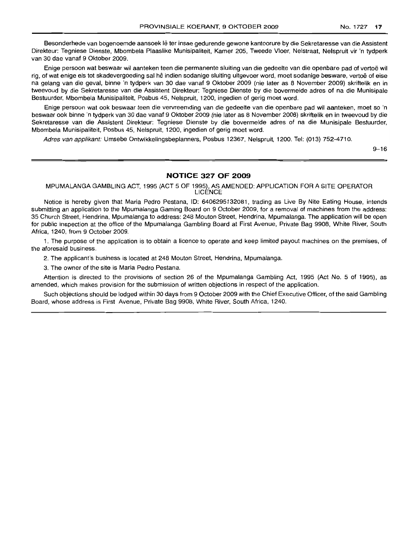Besonderhede van bogenoemde aansoek lê ter insae gedurende gewone kantoorure by die Sekretaresse van die Assistent Direkteur: Tegniese Dienste, Mbombela Plaaslike Munisipaliteit, Kamer 205, Tweede Vloer, Nelstraat, Nelspruit vir 'n tydperk van 30 dae vanaf 9 Oktober 2009.

Enige persoon wat beswaar wil aanteken teen die permanente sluiting van die gedeelte van die openbare pad of vertoë wil rig, of wat enige eis tot skadevergoeding sal he indien sodanige sluiting uitgevoer word, moet sodanige besware, vertoe of eise na gelang van die geval, binne 'n tydperk van 30 dae vanaf 9 Oktober 2009 (nie later as 8 November 2009) skriftelik en in tweevoud by die Sekretaresse van die Assistent Direkteur: Tegniese Dienste by die bovermelde adres of na die Munisipale Bestuurder, Mbombela Munisipaliteit, Posbus 45, Nelspruit, 1200, ingedien of gerig moet word.

Enige persoon wat ook beswaar teen die vervreemding van die gedeelte van die openbare pad wil aanteken, moet so 'n beswaar ook binne 'n tydperk van 30 dae vanaf 9 Oktober 2009 (nie later as 8 November 2008) skriftelik en in tweevoud by die Sekretaresse van die Assistent Direkteur: Tegniese Dienste by die bovermelde adres of na die Munisipale Bestuurder, Mbombela Munisipaliteit, Posbus 45, Nelspruit, 1200, ingedien of gerig moet word.

Adres van applikant: Umsebe Ontwikkelingsbeplanners, Posbus 12367, Nelspruit, 1200. Tel: (013) 752-4710.

 $9 - 16$ 

#### **NOTICE 327 OF 2009**

MPUMALANGA GAMBLING ACT, 1995 (ACT 5 OF 1995), AS AMENDED: APPLICATION FOR A SITE OPERATOR LICENCE

Notice is hereby given that Maria Pedro Pestana, ID: 6406295132081, trading as Live By Nite Eating House, intends submitting an application to the Mpumalanga Gaming Board on 9 October 2009, for a removal of machines from the address: 35 Church Street, Hendrina, Mpumalanga to address: 248 Mouton Street, Hendrina, Mpumalanga. The application will be open for public inspection at the office of the Mpumalanga Gambling Board at First Avenue, Private Bag 9908, White River, South Africa, 1240, from 9 October 2009.

1. The purpose of the application is to obtain a licence to operate and keep limited payout machines on the premises, of the aforesaid business.

2. The applicant's business is located at 248 Mouton Street, Hendrina, Mpumalanga.

3. The owner of the site is Maria Pedro Pestana.

Attention is directed to the provisions of section 26 of the Mpumalanga Gambling Act, 1995 (Act No. 5 of 1995), as amended, which makes provision for the submission of written objections in respect of the application.

Such objections should be lodged within 30 days from 9 October 2009 with the Chief Executive Officer, of the said Gambling Board, whose address is First Avenue, Private Bag 9908, White River, South Africa, 1240.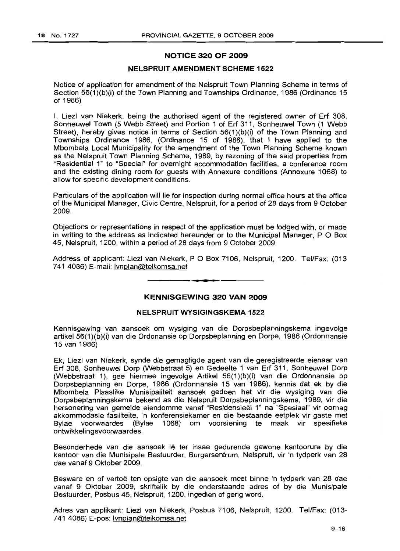# **NOTICE 320 OF 2009**

# **NELSPRUIT AMENDMENT SCHEME 1522**

Notice of application for amendment of the Nelspruit Town Planning Scheme in terms of Section 56(1 )(b)(i) of the Town Planning and Townships Ordinance, 1986 (Ordinance 15 of 1986)

I, Liezl van Niekerk, being the authorised agent of the registered owner of Erf 308, Sonheuwel Town (5 Webb Street) and Portion 1 of Erf 311, Sonheuwel Town (1 Webb Street), hereby gives notice in terms of Section 56(1)(b)(i) of the Town Planning and Townships Ordinance 1986, (Ordinance 15 of 1986), that I have applied to the Mbombela Local Municipality for the amendment of the Town Planning Scheme known as the Nelspruit Town Planning Scheme, 1989, by rezoning of the said properties from "Residential 1" to "Special" for overnight accommodation facilities, a conference room and the existinq dining room for guests with Annexure conditions (Annexure 1068) to allow for specific development conditions.

Particulars of the application will lie for inspection during normal office hours at the office of the Municipal Manager, Civic Centre, Nelspruit, for a period of 28 days from 9 October 2009.

Objections or representations in respect of the application must be lodged with, or made in writing to the address as indicated hereunder or to the Municipal Manager,  $P O Box$ 45, Nelspruit, 1200, within a period of 28 days from 9 October 2009.

Address of applicant: Liezl van Niekerk, POBox 7106, Nelspruit, 1200. Tel/Fax: (013 741 4086) E-mail: Ivnplan@telkomsa.net

# **KENNISGEWING 320 VAN 2009**

**• •**

### **NELSPRUIT WYSIGINGSKEMA 1522**

Kennisgewing van aansoek om wysiging van die Dorpsbeplanningskema ingevolge artikel 56(1 )(b)(i) van die Ordonansie op Dorpsbeplanning en Dorpe, 1986 (Ordonnansie 15 van 1986)

Ek, Liezl van Niekerk, synde die gemagtigde agent van die geregistreerde eienaar van Erf 308, Sonheuwel Dorp (Webbstraat 5) en Gedeelte 1 van Erf 311, Sonheuwel Dorp (Webbstraat 1), gee hiermee ingevolge Artikel 56(1 )(b)(i) van die Ordonnansie op Dorpsbeplanning en Dorpe, 1986 (Ordonnansie 15 van 1986), kennis dat ek by die IVlbombela Plaaslike Munisipaliteit aansoek gedoen het vir die wysiging van die Dorpsbeplanningskema bekend as die Nelspruit Dorpsbeplanningskema, 1989, vir die hersonering van gemelde eiendomme vanaf "Residensieel 1" na "Spesiaal" vir oornag akkommodasie fasiliteite, 'n konferensiekamer en die bestaande eetplek vir gaste met Bylae voorwaardes (Bylae 1068) om voorsiening te maak vir spesifieke ontwikkelingsvoorwaardes.

Besonderhede van die aansoek lê ter insae gedurende gewone kantoorure by die kantoor van die Munisipale Bestuurder, Burgersentrum, Nelspruit, vir 'n tydperk van 28 dae vanaf 9 Oktober 2009.

Besware en of vertoe ten opsigte van die aansoek moet binne 'n tydperk van 28 dae vanaf 9 Oktober 2009, skriftelik by die onderstaande adres of by die Munisipale Bestuurder, Posbus 45, Nelspruit, 1200, ingedien of gerig word.

Adres van applikant: Liezl van Niekerk, Posbus 7106, Nelspruit, 1200. Tel/Fax: (013- 741 4086) E-pos: Ivnplan@telkomsa.net